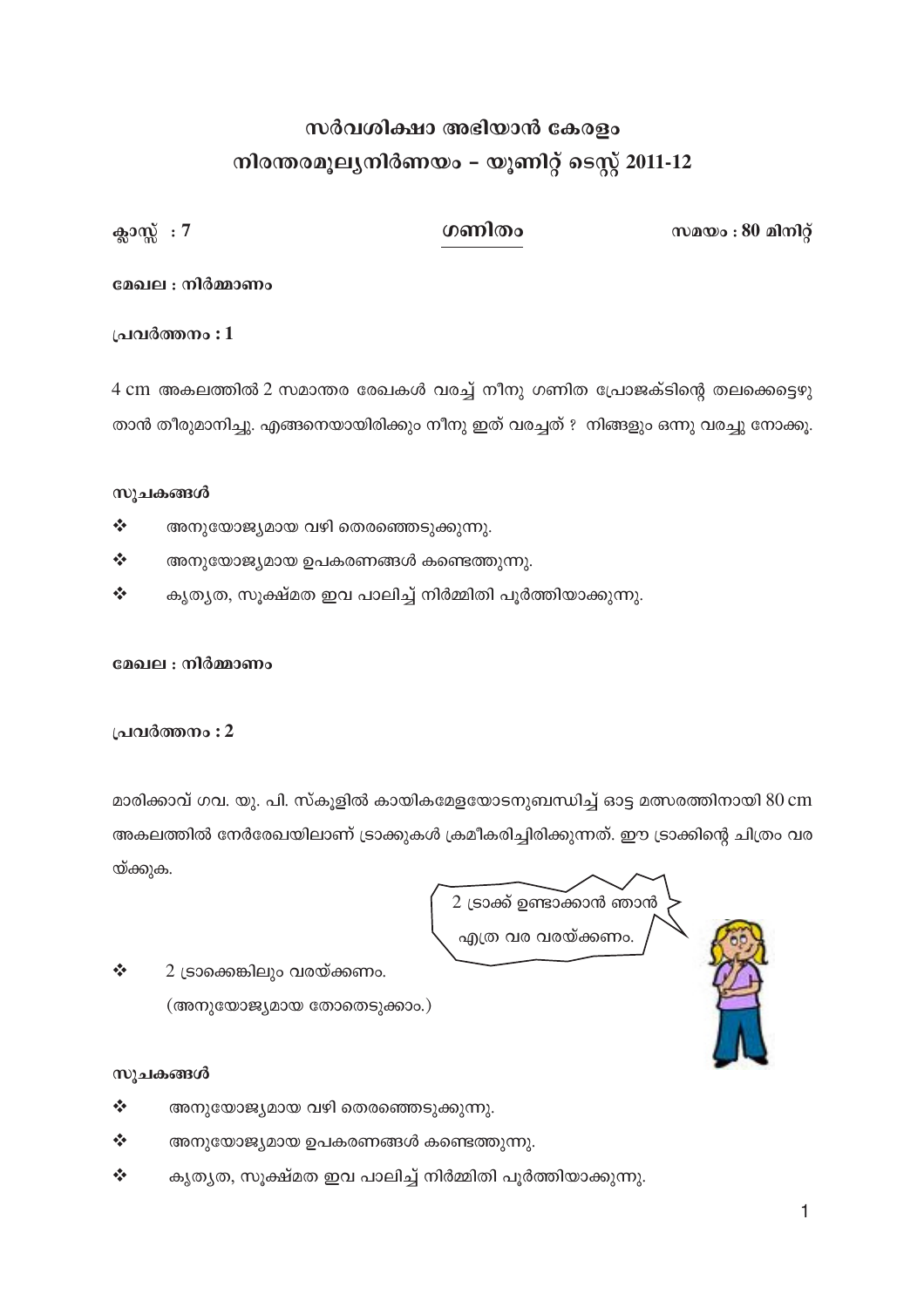## സർവശിക്ഷാ അഭിയാൻ കേരളം നിരന്തരമൂല്യനിർണയം – യൂണിറ്റ് ടെസ്റ്റ് 2011-12

സമയം:  $80$  മിനിറ്റ്

ഗണിതം

ക്ലാസ്സ്:  $7$ 

#### മേഖല : നിർമ്മാണം

#### പ്രവർത്തനം : 1

4 cm അകലത്തിൽ 2 സമാന്തര രേഖകൾ വരച്ച് നീനു ഗണിത പ്രോജക്ടിന്റെ തലക്കെട്ടെഴു താൻ തീരുമാനിച്ചു. എങ്ങനെയായിരിക്കും നീനു ഇത് വരച്ചത് ? നിങ്ങളും ഒന്നു വരച്ചു നോക്കൂ.

#### സൂചകങ്ങൾ

- $\frac{1}{2}$ അനുയോജ്യമായ വഴി തെരഞ്ഞെടുക്കുന്നു.
- $\frac{1}{2}$ അനുയോജ്യമായ ഉപകരണങ്ങൾ കണ്ടെത്തുന്നു.
- $\frac{1}{2}$ കൃതൃത, സൂക്ഷ്മത ഇവ പാലിച്ച് നിർമ്മിതി പൂർത്തിയാക്കുന്നു.

#### മേഖല : നിർമ്മാണം

#### പ്രവർത്തനം : 2

മാരിക്കാവ് ഗവ. യു. പി. സ്കൂളിൽ കായികമേളയോടനുബന്ധിച്ച് ഓട്ട മത്സരത്തിനായി 80 cm അകലത്തിൽ നേർരേഖയിലാണ് ട്രാക്കുകൾ ക്രമീകരിച്ചിരിക്കുന്നത്. ഈ ട്രാക്കിന്റെ ചിത്രം വര യ്ക്കുക.

2 ട്രാക്ക് ഉണ്ടാക്കാൻ ഞാൻ എത്ര വര വരയ്ക്കണം.

#### സൂചകങ്ങൾ

 $\frac{1}{2}$ 

 $\frac{1}{2}$ അനുയോജ്യമായ വഴി തെരഞ്ഞെടുക്കുന്നു.

(അനുയോജ്യമായ തോതെടുക്കാം.)

2 ട്രാക്കെങ്കിലും വരയ്ക്കണം.

- $\frac{1}{2}$ അനുയോജ്യമായ ഉപകരണങ്ങൾ കണ്ടെത്തുന്നു.
- $\frac{1}{2}$ കൃതൃത, സൂക്ഷ്മത ഇവ പാലിച്ച് നിർമ്മിതി പൂർത്തിയാക്കുന്നു.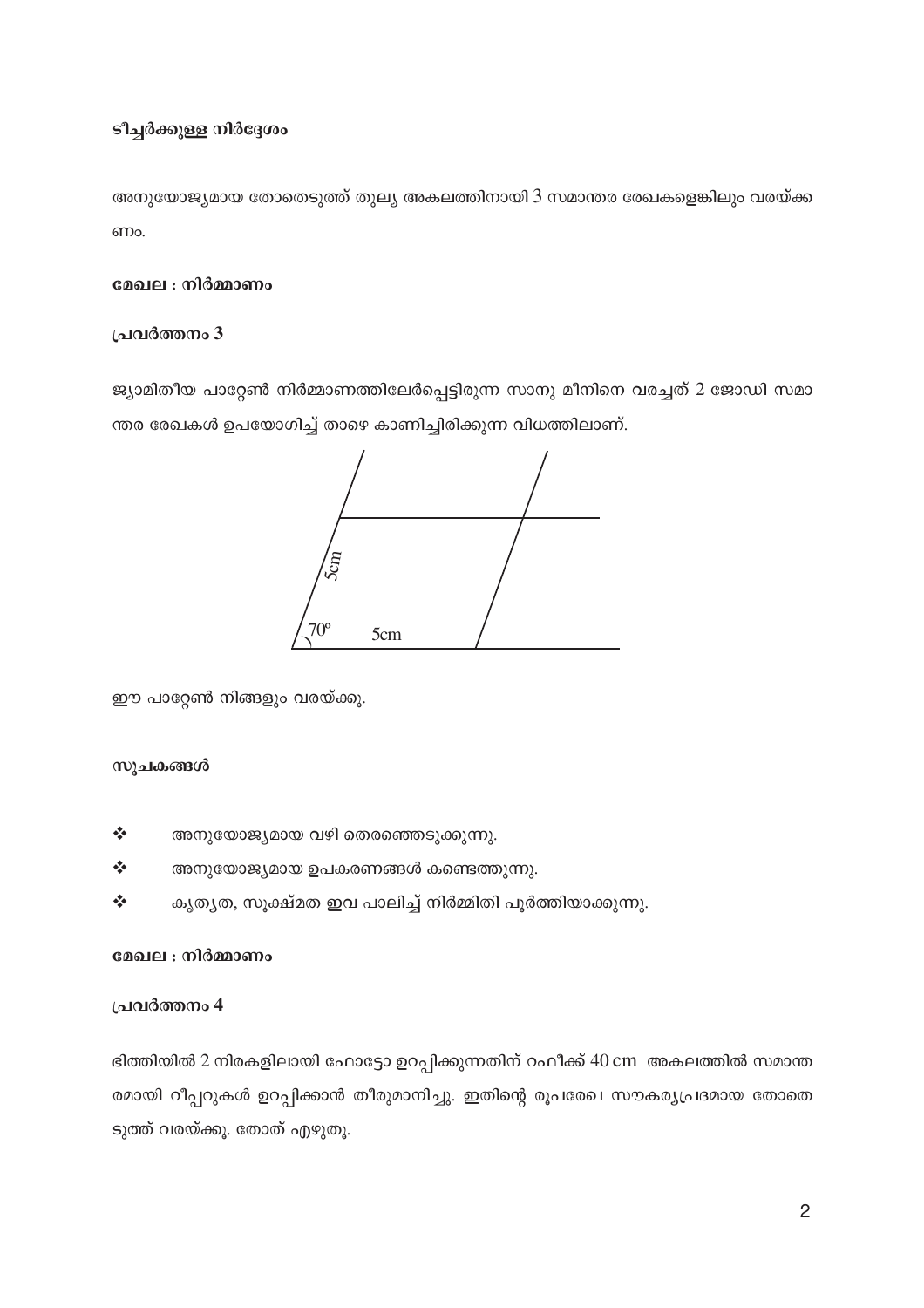#### ടീച്ചർക്കുള്ള നിർദ്ദേശം

അനുയോജ്യമായ തോതെടുത്ത് തുല്യ അകലത്തിനായി 3 സമാന്തര രേഖകളെങ്കിലും വരയ്ക്ക ണം.

#### മേഖല : നിർമ്മാണം

#### പ്രവർത്തനം 3

ജ്യാമിതീയ പാറ്റേൺ നിർമ്മാണത്തിലേർപ്പെട്ടിരുന്ന സാനു മീനിനെ വരച്ചത് 2 ജോഡി സമാ ന്തര രേഖകൾ ഉപയോഗിച്ച് താഴെ കാണിച്ചിരിക്കുന്ന വിധത്തിലാണ്.



ഈ പാറ്റേൺ നിങ്ങളും വരയ്ക്കൂ.

#### സൂചകങ്ങൾ

- $\frac{1}{2}$ അനുയോജ്യമായ വഴി തെരഞ്ഞെടുക്കുന്നു.
- $\frac{1}{2}$ അനുയോജ്യമായ ഉപകരണങ്ങൾ കണ്ടെത്തുന്നു.
- കൃത്യത, സൂക്ഷ്മത ഇവ പാലിച്ച് നിർമ്മിതി പൂർത്തിയാക്കുന്നു.  $\frac{1}{2}$

#### മേഖല : നിർമ്മാണം

#### പ്രവർത്തനം 4

ഭിത്തിയിൽ 2 നിരകളിലായി ഫോട്ടോ ഉറപ്പിക്കുന്നതിന് റഫീക്ക് 40 cm അകലത്തിൽ സമാന്ത രമായി റീപ്പറുകൾ ഉറപ്പിക്കാൻ തീരുമാനിച്ചു. ഇതിന്റെ രൂപരേഖ സൗകര്യപ്രദമായ തോതെ ടുത്ത് വരയ്ക്കൂ. തോത് എഴുതൂ.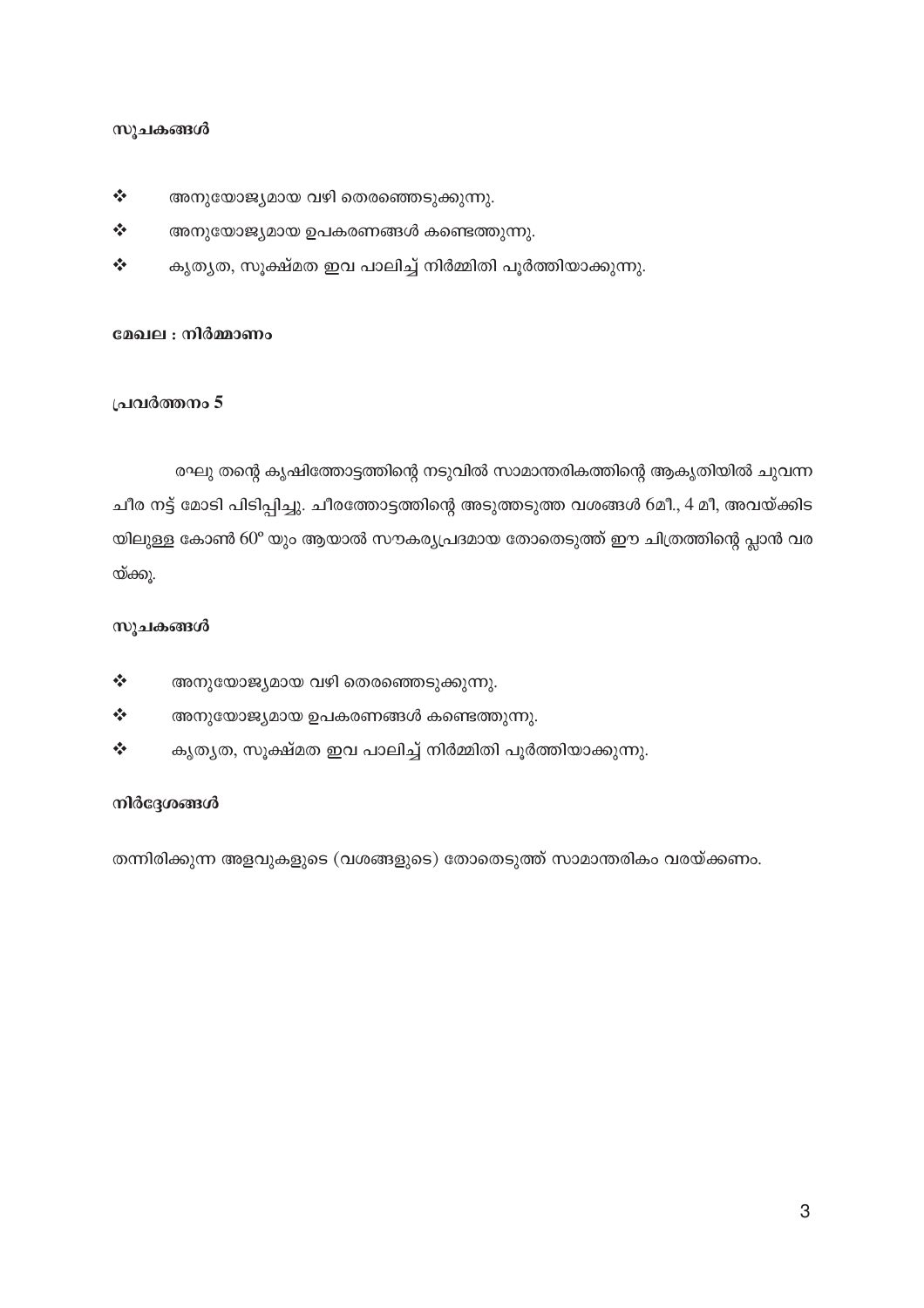- $\frac{1}{2}$ അനുയോജ്യമായ വഴി തെരഞ്ഞെടുക്കുന്നു.
- $\frac{1}{2}$ അനുയോജ്യമായ ഉപകരണങ്ങൾ കണ്ടെത്തുന്നു.
- $\frac{1}{2}$ കൃതൃത, സൂക്ഷ്മത ഇവ പാലിച്ച് നിർമ്മിതി പൂർത്തിയാക്കുന്നു.

#### മേഖല : നിർമ്മാണം

#### പ്രവർത്തനം 5

രഘു തന്റെ കൃഷിത്തോട്ടത്തിന്റെ നടുവിൽ സാമാന്തരികത്തിന്റെ ആകൃതിയിൽ ചുവന്ന ചീര നട്ട് മോടി പിടിപ്പിച്ചു. ചീരത്തോട്ടത്തിന്റെ അടുത്തടുത്ത വശങ്ങൾ 6മീ., 4 മീ, അവയ്ക്കിട യിലുള്ള കോൺ 60° യും ആയാൽ സൗകര്യപ്രദമായ തോതെടുത്ത് ഈ ചിത്രത്തിന്റെ പ്ലാൻ വര യ്ക്കു.

#### സൂചകങ്ങൾ

- $\frac{1}{2}$ അനുയോജ്യമായ വഴി തെരഞ്ഞെടുക്കുന്നു.
- $\frac{1}{2}$ അനുയോജ്യമായ ഉപകരണങ്ങൾ കണ്ടെത്തുന്നു.
- കൃതൃത, സൂക്ഷ്മത ഇവ പാലിച്ച് നിർമ്മിതി പൂർത്തിയാക്കുന്നു.  $\frac{1}{2}$

#### നിർദ്ദേശങ്ങൾ

തന്നിരിക്കുന്ന അളവുകളുടെ (വശങ്ങളുടെ) തോതെടുത്ത് സാമാന്തരികം വരയ്ക്കണം.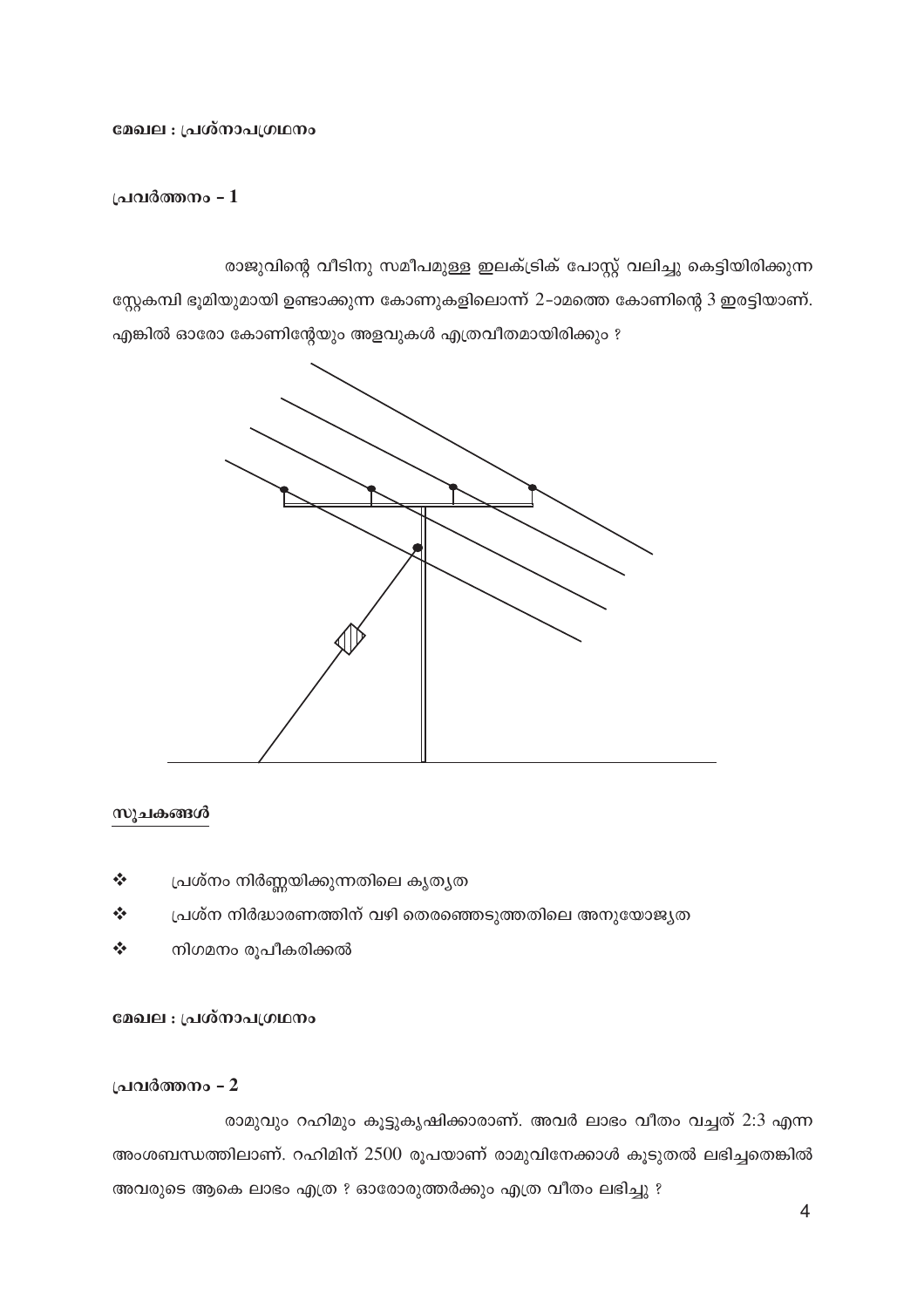#### മേഖല : പ്രശ്നാപഗ്രഥനം

#### പ്രവർത്തനം - 1

രാജുവിന്റെ വീടിനു സമീപമുള്ള ഇലക്ട്രിക് പോസ്റ്റ് വലിച്ചു കെട്ടിയിരിക്കുന്ന

സ്റ്റേകമ്പി ഭൂമിയുമായി ഉണ്ടാക്കുന്ന കോണുകളിലൊന്ന് 2-ാമത്തെ കോണിന്റെ 3 ഇരട്ടിയാണ്. എങ്കിൽ ഓരോ കോണിന്റേയും അളവുകൾ എത്രവീതമായിരിക്കും ?



#### സൂചകങ്ങൾ

- $\frac{1}{2}$ പ്രശ്നം നിർണ്ണയിക്കുന്നതിലെ കൃതൃത
- $\frac{1}{2}$ പ്രശ്ന നിർദ്ധാരണത്തിന് വഴി തെരഞ്ഞെടുത്തതിലെ അനുയോജ്യത
- $\frac{1}{2}$ നിഗമനം രൂപീകരിക്കൽ

#### മേഖല : പ്രശ്നാപഗ്രഥനം

#### പ്രവർത്തനം - 2

രാമുവും റഹിമും കൂട്ടുകൃഷിക്കാരാണ്. അവർ ലാഭം വീതം വച്ചത് 2:3 എന്ന അംശബന്ധത്തിലാണ്. റഹിമിന് 2500 രൂപയാണ് രാമുവിനേക്കാൾ കൂടുതൽ ലഭിച്ചതെങ്കിൽ അവരുടെ ആകെ ലാഭം എത്ര ? ഓരോരുത്തർക്കും എത്ര വീതം ലഭിച്ചു ?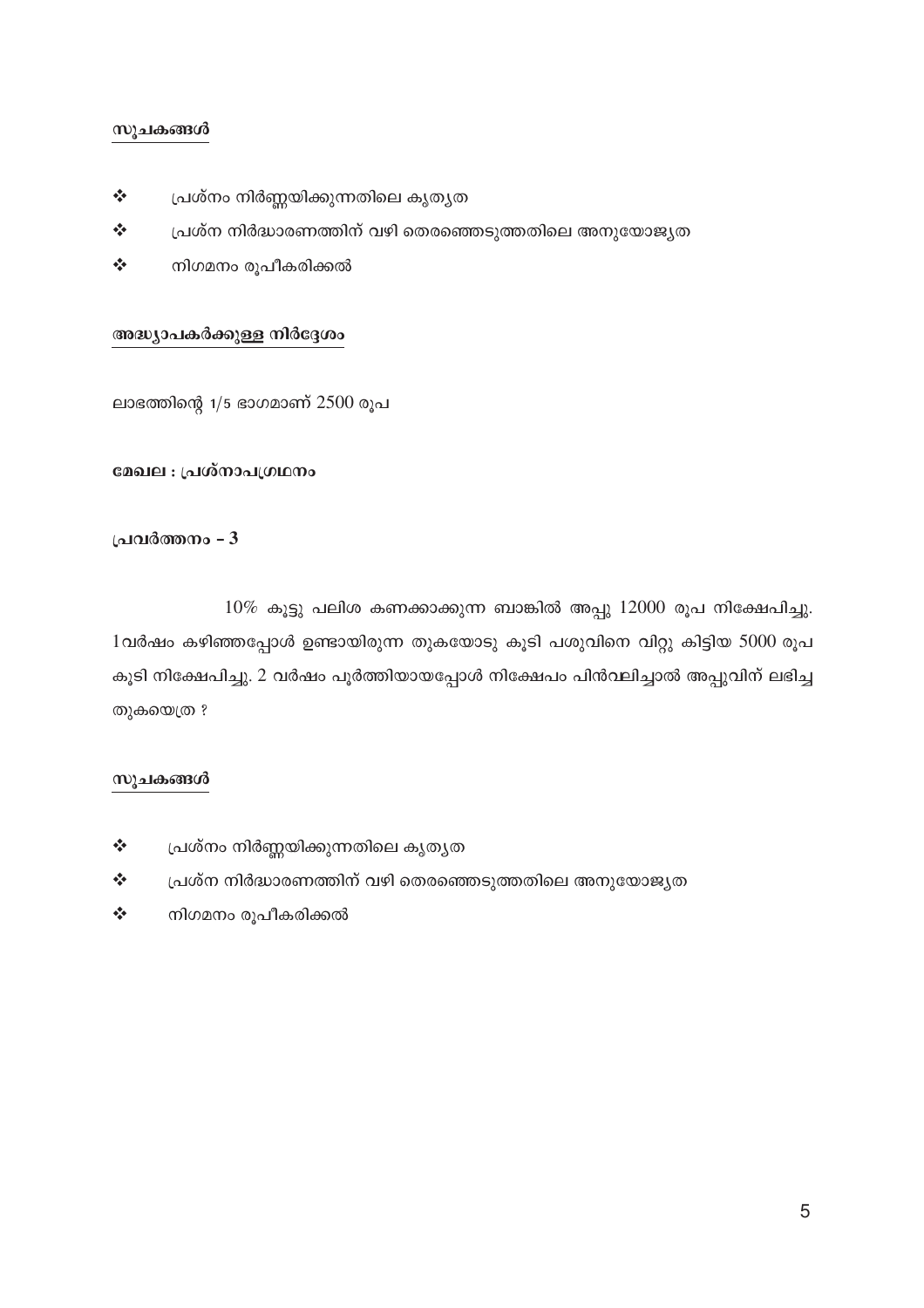- $\frac{1}{2}$ പ്രശ്നം നിർണ്ണയിക്കുന്നതിലെ കൃതൃത
- $\frac{1}{2}$ പ്രശ്ന നിർദ്ധാരണത്തിന് വഴി തെരഞ്ഞെടുത്തതിലെ അനുയോജ്യത
- $\frac{1}{2}$ നിഗമനം രൂപീകരിക്കൽ

#### അദ്ധ്യാപകർക്കുള്ള നിർദ്ദേശം

ലാഭത്തിന്റെ  $1/5$  ഭാഗമാണ്  $2500$  രൂപ

#### മേഖല : പ്രശ്നാപഗ്രഥനം

#### പ്രവർത്തനം - 3

 $10\%$  കൂട്ടു പലിശ കണക്കാക്കുന്ന ബാങ്കിൽ അപ്പു  $12000$  രൂപ നിക്ഷേപിച്ചു. 1വർഷം കഴിഞ്ഞപ്പോൾ ഉണ്ടായിരുന്ന തുകയോടു കൂടി പശുവിനെ വിറ്റു കിട്ടിയ 5000 രൂപ കൂടി നിക്ഷേപിച്ചു. 2 വർഷം പൂർത്തിയായപ്പോൾ നിക്ഷേപം പിൻവലിച്ചാൽ അപ്പുവിന് ലഭിച്ച തുകയെത്ര ?

#### സുചകങ്ങൾ

- $\frac{1}{2}$ പ്രശ്നം നിർണ്ണയിക്കുന്നതിലെ കൃതൃത
- $\frac{1}{2}$ പ്രശ്ന നിർദ്ധാരണത്തിന് വഴി തെരഞ്ഞെടുത്തതിലെ അനുയോജ്യത
- $\frac{1}{2}$ നിഗമനം രൂപീകരിക്കൽ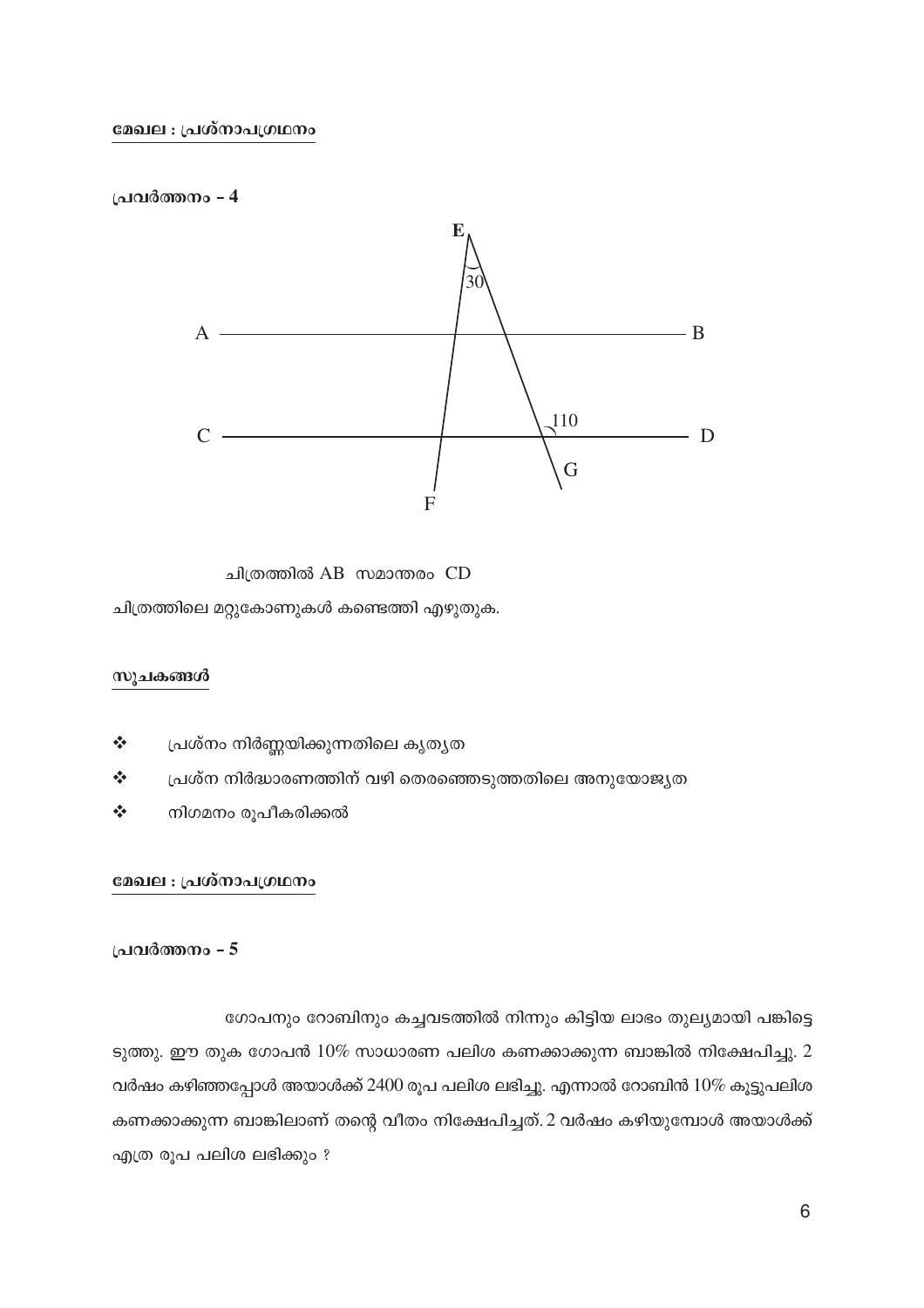





ചിത്രത്തിലെ മറ്റുകോണുകൾ കണ്ടെത്തി എഴുതുക.

#### സുചകങ്ങൾ

- $\frac{1}{2}$ പ്രശ്നം നിർണ്ണയിക്കുന്നതിലെ കൃതൃത
- $\frac{1}{2}$ പ്രശ്ന നിർദ്ധാരണത്തിന് വഴി തെരഞ്ഞെടുത്തതിലെ അനുയോജ്യത
- $\frac{1}{2}$ നിഗമനം രൂപീകരിക്കൽ

#### മേഖല : പ്രശ്നാപഗ്രഥനം

#### പ്രവർത്തനം - 5

ഗോപനും റോബിനും കച്ചവടത്തിൽ നിന്നും കിട്ടിയ ലാഭം തുല്യമായി പങ്കിട്ടെ

ടുത്തു. ഈ തുക ഗോപൻ  $10\%$  സാധാരണ പലിശ കണക്കാക്കുന്ന ബാങ്കിൽ നിക്ഷേപിച്ചു.  $2$ വർഷം കഴിഞ്ഞപ്പോൾ അയാൾക്ക് 2400 രൂപ പലിശ ലഭിച്ചു. എന്നാൽ റോബിൻ  $10\%$  കൂട്ടുപലിശ കണക്കാക്കുന്ന ബാങ്കിലാണ് തന്റെ വീതം നിക്ഷേപിച്ചത്. 2 വർഷം കഴിയുമ്പോൾ അയാൾക്ക് എത്ര രൂപ പലിശ ലഭിക്കും ?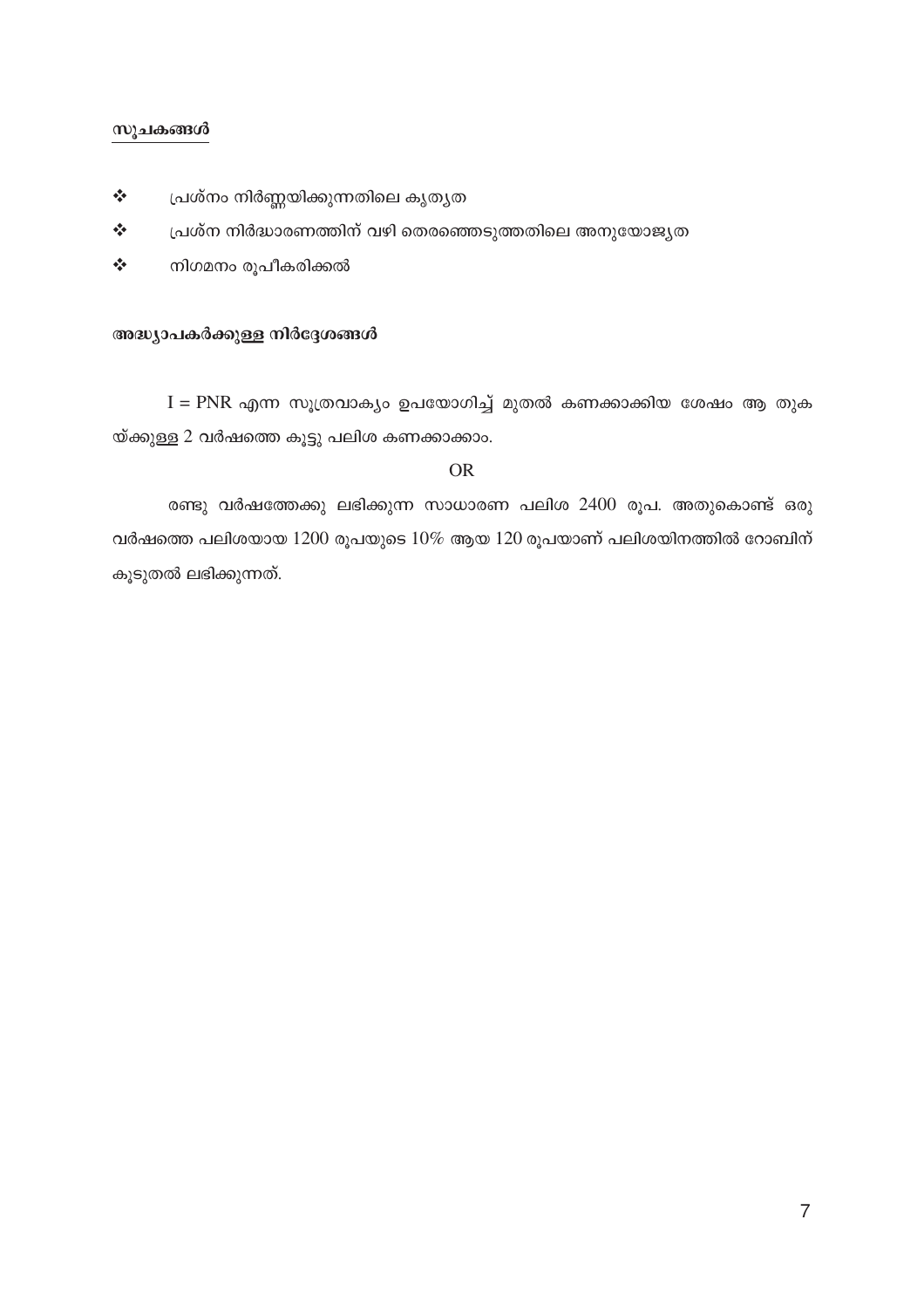#### സൂചകങ്ങൾ

- $\frac{1}{2}$ പ്രശ്നം നിർണ്ണയിക്കുന്നതിലെ കൃതൃത
- $\frac{1}{2}$ പ്രശ്ന നിർദ്ധാരണത്തിന് വഴി തെരഞ്ഞെടുത്തതിലെ അനുയോജ്യത
- $\frac{1}{2}$ നിഗമനം രൂപീകരിക്കൽ

#### അദ്ധ്യാപകർക്കുള്ള നിർദ്ദേശങ്ങൾ

 $I = PNR$  എന്ന സുത്രവാക്യം ഉപയോഗിച്ച് മുതൽ കണക്കാക്കിയ ശേഷം ആ തുക യ്ക്കുള്ള 2 വർഷത്തെ കൂട്ടു പലിശ കണക്കാക്കാം.

#### **OR**

രണ്ടു വർഷത്തേക്കു ലഭിക്കുന്ന സാധാരണ പലിശ 2400 രൂപ. അതുകൊണ്ട് ഒരു വർഷത്തെ പലിശയായ  $1200$  രൂപയുടെ  $10\%$  ആയ  $120$  രൂപയാണ് പലിശയിനത്തിൽ റോബിന് കൂടുതൽ ലഭിക്കുന്നത്.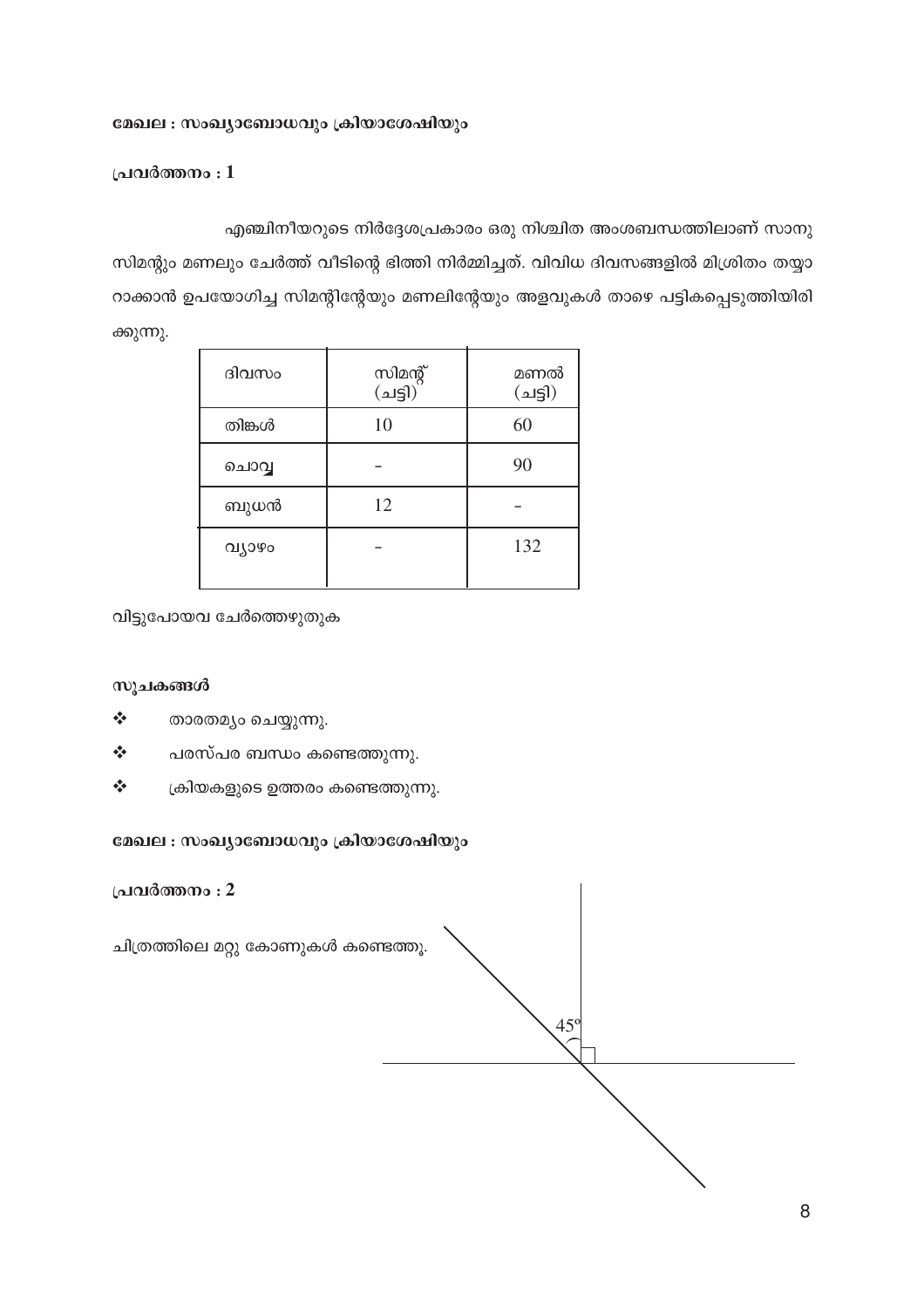### മേഖല : സംഖ്യാബോധവും ക്രിയാശേഷിയും

#### പ്രവർത്തനം $:1$

എഞ്ചിനീയറുടെ നിർദ്ദേശപ്രകാരം ഒരു നിശ്ചിത അംശബന്ധത്തിലാണ് സാനു

സിമന്റും മണലും ചേർത്ത് വീടിന്റെ ഭിത്തി നിർമ്മിച്ചത്. വിവിധ ദിവസങ്ങളിൽ മിശ്രിതം തയ്യാ റാക്കാൻ ഉപയോഗിച്ച സിമന്റിന്റേയും മണലിന്റേയും അളവുകൾ താഴെ പട്ടികപ്പെടുത്തിയിരി ക്കുന്നു.

| ദിവസം  | സിമന്റ്<br>(ചട്ടി) | മണൽ<br>(25) |
|--------|--------------------|-------------|
| തിങ്കൾ | 10                 | 60          |
| ചൊവ്വ  |                    | 90          |
| ബുധൻ   | 12                 |             |
| വ്യാഴം |                    | 132         |

വിട്ടുപോയവ ചേർത്തെഴുതുക

#### സൂചകങ്ങൾ

- $\frac{1}{2}$ താരതമൃം ചെയ്യുന്നു.
- $\ddot{\phi}$ പരസ്പര ബന്ധം കണ്ടെത്തുന്നു.
- $\frac{1}{2}$ ക്രിയകളുടെ ഉത്തരം കണ്ടെത്തുന്നു.

#### മേഖല : സംഖ്യാബോധവും ക്രിയാശേഷിയും

പ്രവർത്തനം : 2 ചിത്രത്തിലെ മറ്റു കോണുകൾ കണ്ടെത്തൂ. 45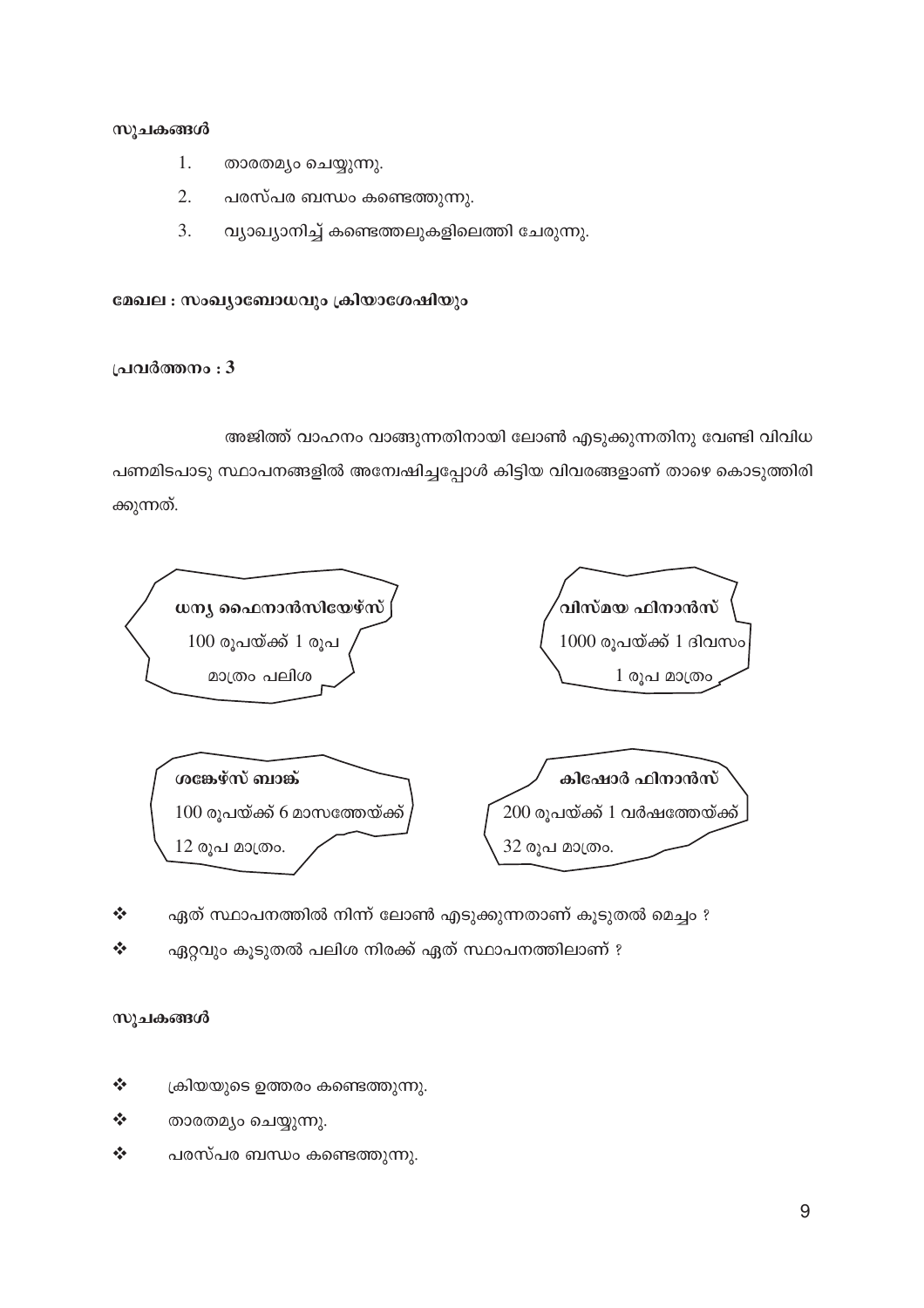- 1. താരതമ്യം ചെയ്യുന്നു.
- $\overline{2}$ . പരസ്പര ബന്ധം കണ്ടെത്തുന്നു.
- $3.$ വ്യാഖ്യാനിച്ച് കണ്ടെത്തലുകളിലെത്തി ചേരുന്നു.

### മേഖല : സംഖ്യാബോധവും ക്രിയാശേഷിയും

#### പ്രവർത്തനം : 3

അജിത്ത് വാഹനം വാങ്ങുന്നതിനായി ലോൺ എടുക്കുന്നതിനു വേണ്ടി വിവിധ പണമിടപാടു സ്ഥാപനങ്ങളിൽ അന്വേഷിച്ചപ്പോൾ കിട്ടിയ വിവരങ്ങളാണ് താഴെ കൊടുത്തിരി ക്കുന്നത്.



- $\frac{1}{2}$ ഏത് സ്ഥാപനത്തിൽ നിന്ന് ലോൺ എടുക്കുന്നതാണ് കൂടുതൽ മെച്ചം ?
- ഏറ്റവും കൂടുതൽ പലിശ നിരക്ക് ഏത് സ്ഥാപനത്തിലാണ് ?  $\frac{1}{2}$

#### സുചകങ്ങൾ

- $\frac{1}{2}$ ക്രിയയുടെ ഉത്തരം കണ്ടെത്തുന്നു.
- $\frac{1}{2}$ താരതമ്യം ചെയ്യുന്നു.
- $\frac{1}{2}$ പരസ്പര ബന്ധം കണ്ടെത്തുന്നു.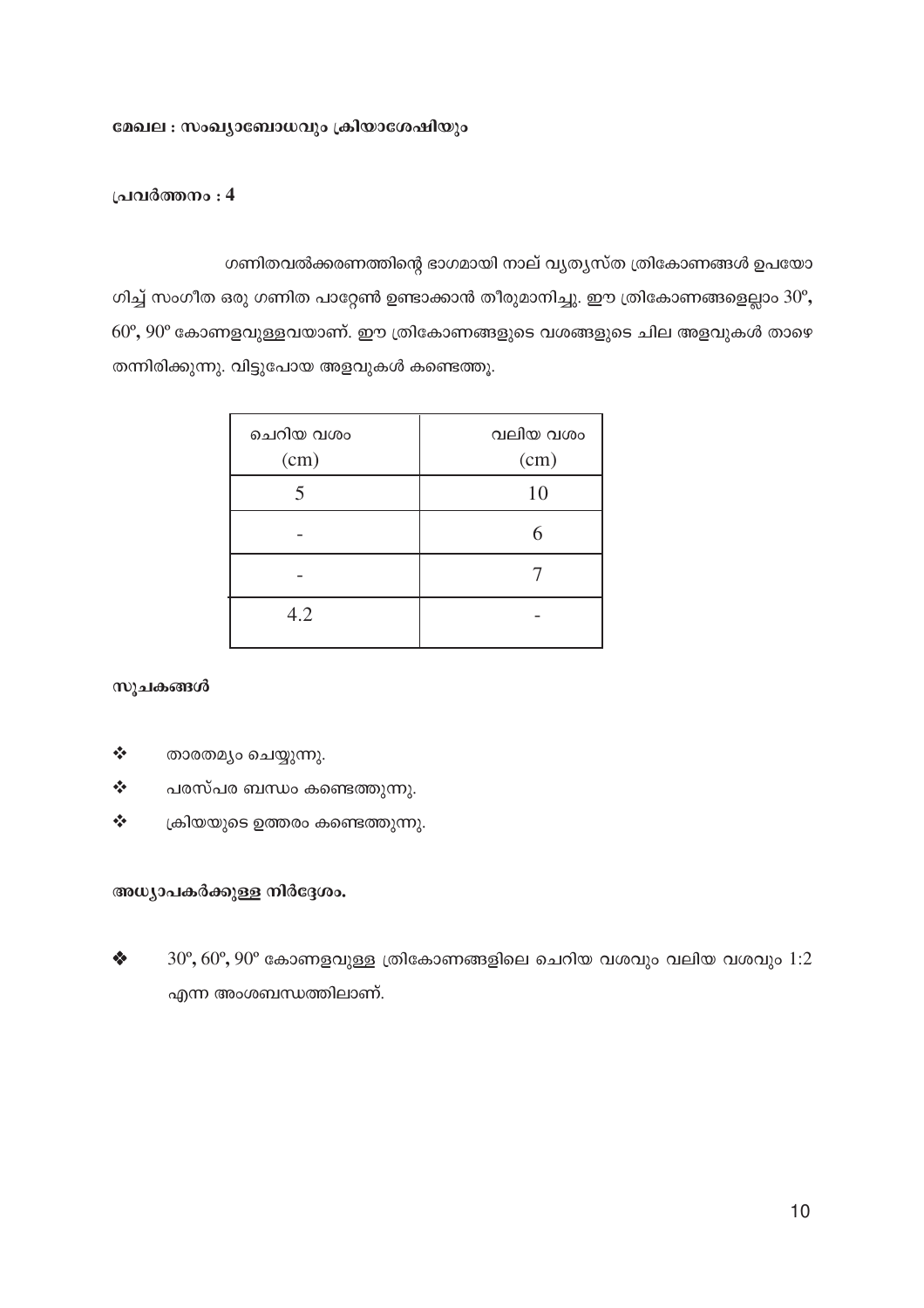#### മേഖല : സംഖ്യാബോധവും ക്രിയാശേഷിയും

#### പ്രവർത്തനം : 4

ഗണിതവൽക്കരണത്തിന്റെ ഭാഗമായി നാല് വ്യത്യസ്ത ത്രികോണങ്ങൾ ഉപയോ ഗിച്ച് സംഗീത ഒരു ഗണിത പാറ്റേൺ ഉണ്ടാക്കാൻ തീരുമാനിച്ചു. ഈ ത്രികോണങ്ങളെല്ലാം  $30^{\circ}$ ,  $60^{\circ}, 90^{\circ}$  കോണളവുള്ളവയാണ്. ഈ ത്രികോണങ്ങളുടെ വശങ്ങളുടെ ചില അളവുകൾ താഴെ തന്നിരിക്കുന്നു. വിട്ടുപോയ അളവുകൾ കണ്ടെത്തു.

| ചെറിയ വശം<br>(cm) | വലിയ വശം<br>(cm) |
|-------------------|------------------|
| 5                 | 10               |
|                   | 6                |
|                   |                  |
| 4.2               |                  |

സൂചകങ്ങൾ

- $\frac{1}{2}$ താരതമ്യം ചെയ്യുന്നു.
- $\frac{1}{2}$ പരസ്പര ബന്ധം കണ്ടെത്തുന്നു.
- $\frac{1}{2}$ ക്രിയയുടെ ഉത്തരം കണ്ടെത്തുന്നു.

#### അധ്യാപകർക്കുള്ള നിർദ്ദേശം.

 $\bullet$  $30^{\circ}, 60^{\circ}, 90^{\circ}$  കോണളവുള്ള ത്രികോണങ്ങളിലെ ചെറിയ വശവും വലിയ വശവും  $1:2$ എന്ന അംശബന്ധത്തിലാണ്.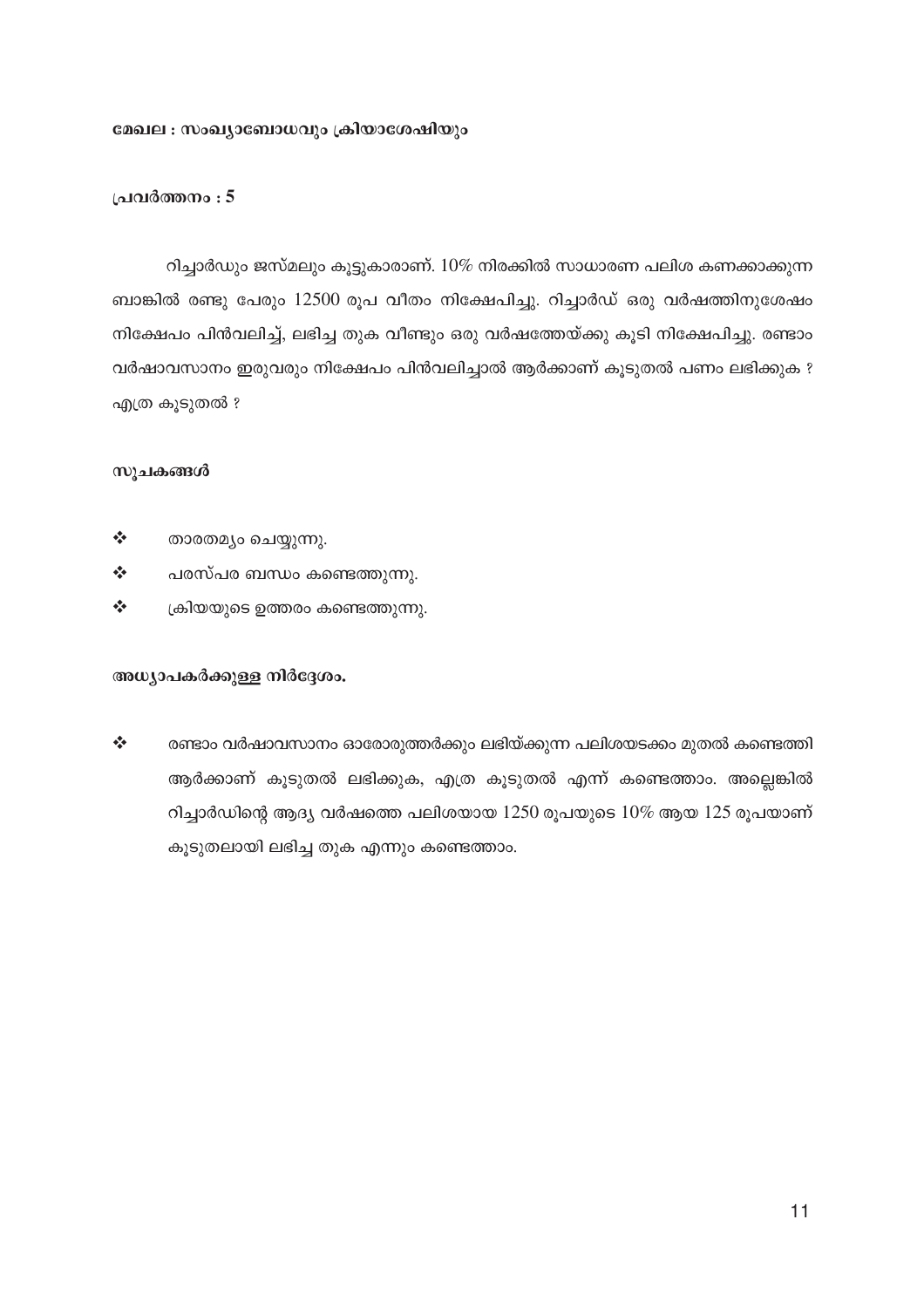#### മേഖല : സംഖ്യാബോധവും ക്രിയാശേഷിയും

#### പ്രവർത്തനം : 5

റിച്ചാർഡും ജസ്മലും കൂട്ടുകാരാണ്.  $10\%$  നിരക്കിൽ സാധാരണ പലിശ കണക്കാക്കുന്ന ബാങ്കിൽ രണ്ടു പേരും 12500 രൂപ വീതം നിക്ഷേപിച്ചു. റിച്ചാർഡ് ഒരു വർഷത്തിനുശേഷം നിക്ഷേപം പിൻവലിച്ച്, ലഭിച്ച തുക വീണ്ടും ഒരു വർഷത്തേയ്ക്കു കൂടി നിക്ഷേപിച്ചു. രണ്ടാം വർഷാവസാനം ഇരുവരും നിക്ഷേപം പിൻവലിച്ചാൽ ആർക്കാണ് കുടുതൽ പണം ലഭിക്കുക ? എത്ര കൂടുതൽ ?

#### സുചകങ്ങൾ

- $\Phi_{\mathbf{a}}^{\Phi_{\mathbf{a}}}$ താരതമ്യം ചെയ്യുന്നു.
- $\frac{1}{2}$ പരസ്പര ബന്ധം കണ്ടെത്തുന്നു.
- $\frac{1}{2}$ ക്രിയയുടെ ഉത്തരം കണ്ടെത്തുന്നു.

#### അധ്യാപകർക്കുള്ള നിർദ്ദേശം.

 $\frac{1}{2}$ രണ്ടാം വർഷാവസാനം ഓരോരുത്തർക്കും ലഭിയ്ക്കുന്ന പലിശയടക്കം മുതൽ കണ്ടെത്തി ആർക്കാണ് കൂടുതൽ ലഭിക്കുക, എത്ര കൂടുതൽ എന്ന് കണ്ടെത്താം. അല്ലെങ്കിൽ റിച്ചാർഡിന്റെ ആദ്യ വർഷത്തെ പലിശയായ  $1250$  രൂപയുടെ  $10\%$  ആയ  $125$  രൂപയാണ് കൂടുതലായി ലഭിച്ച തുക എന്നും കണ്ടെത്താം.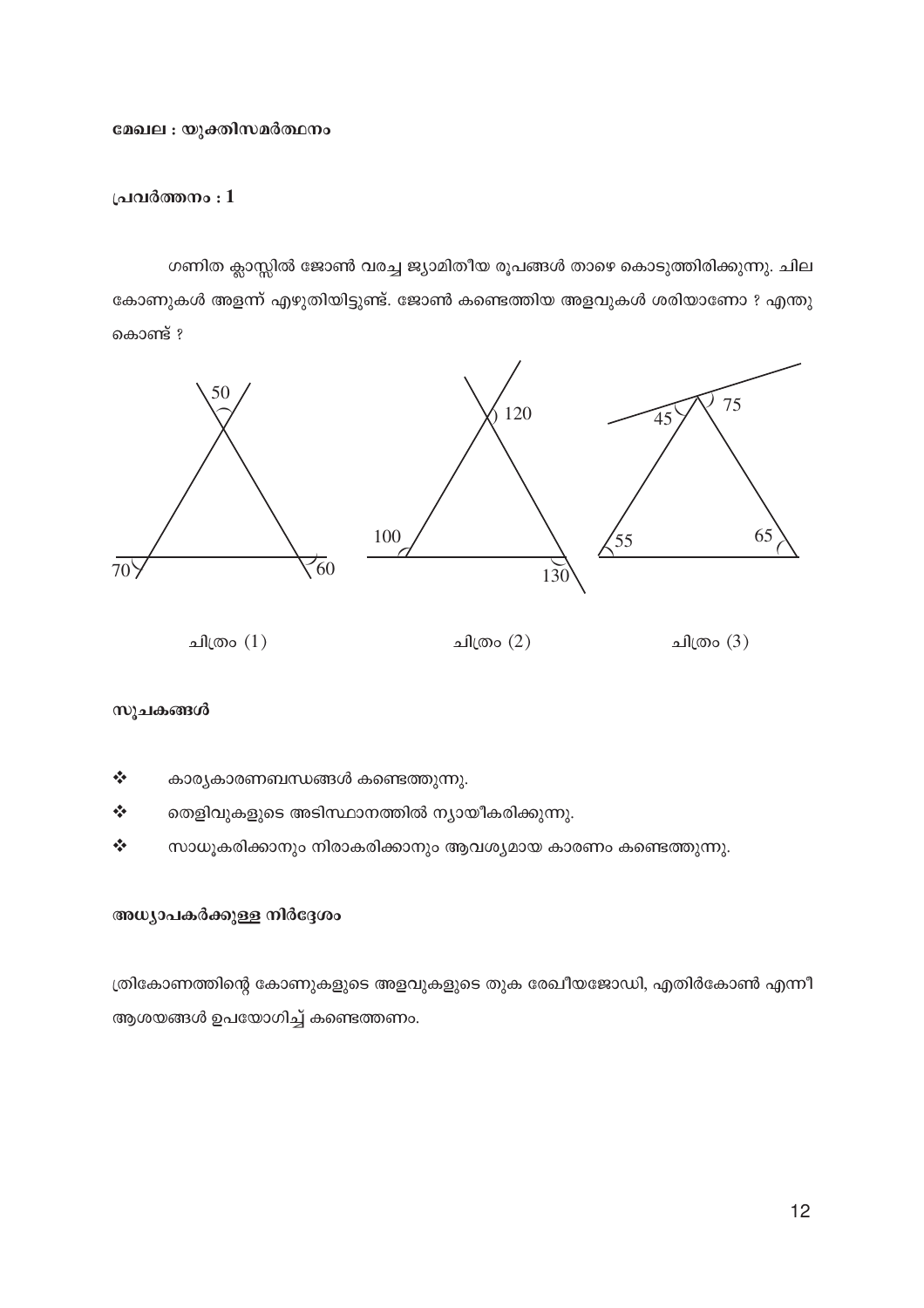#### മേഖല : യുക്തിസമർത്ഥനം

#### പ്രവർത്തനം $:1$

ഗണിത ക്ലാസ്സിൽ ജോൺ വരച്ച ജ്യാമിതീയ രൂപങ്ങൾ താഴെ കൊടുത്തിരിക്കുന്നു. ചില കോണുകൾ അളന്ന് എഴുതിയിട്ടുണ്ട്. ജോൺ കണ്ടെത്തിയ അളവുകൾ ശരിയാണോ ? എന്തു കൊണ്ട് ?



#### സൂചകങ്ങൾ

 $\frac{1}{2}$ കാര്യകാരണബന്ധങ്ങൾ കണ്ടെത്തുന്നു.

 $\frac{1}{2}$ തെളിവുകളുടെ അടിസ്ഥാനത്തിൽ ന്യായീകരിക്കുന്നു.

 $\frac{1}{2}$ സാധൂകരിക്കാനും നിരാകരിക്കാനും ആവശ്യമായ കാരണം കണ്ടെത്തുന്നു.

#### അധ്യാപകർക്കുള്ള നിർദ്ദേശം

ത്രികോണത്തിന്റെ കോണുകളുടെ അളവുകളുടെ തുക രേഖീയജോഡി, എതിർകോൺ എന്നീ ആശയങ്ങൾ ഉപയോഗിച്ച് കണ്ടെത്തണം.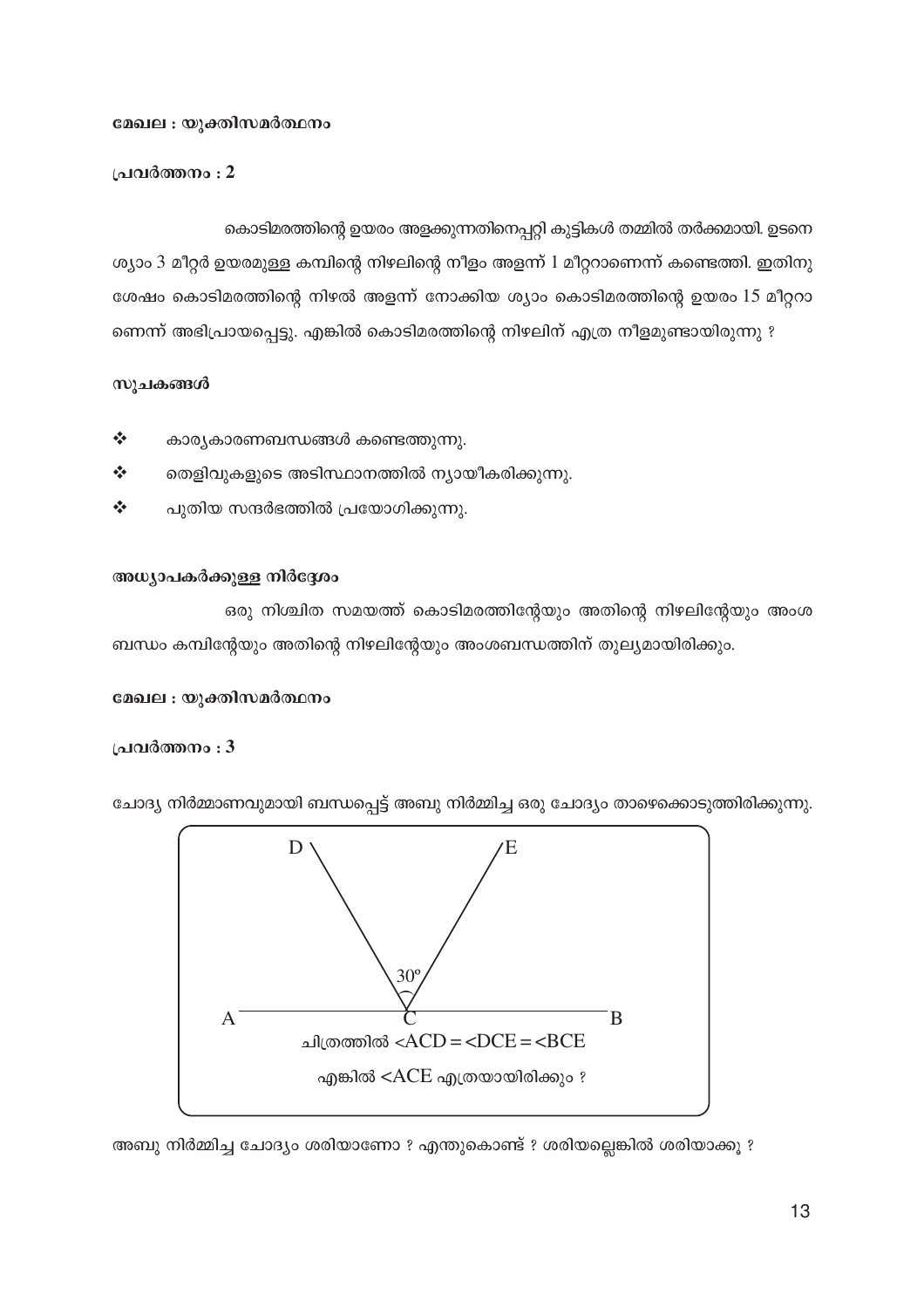#### മേഖല : യുക്തിസമർത്ഥനം

പ്രവർത്തനം : 2

സുചകങ്ങൾ

 $\frac{1}{2}$ 

 $\frac{1}{2}$ 

 $\frac{1}{2}$ 

# കൊടിമരത്തിന്റെ ഉയരം അളക്കുന്നതിനെപ്പറ്റി കുട്ടികൾ തമ്മിൽ തർക്കമായി. ഉടനെ ശ്യാം 3 മീറ്റർ ഉയരമുള്ള കമ്പിന്റെ നിഴലിന്റെ നീളം അളന്ന് 1 മീറ്ററാണെന്ന് കണ്ടെത്തി. ഇതിനു ശേഷം കൊടിമരത്തിന്റെ നിഴൽ അളന്ന് നോക്കിയ ശ്യാം കൊടിമരത്തിന്റെ ഉയരം 15 മീറ്ററാ ണെന്ന് അഭിപ്രായപ്പെട്ടു. എങ്കിൽ കൊടിമരത്തിന്റെ നിഴലിന് എത്ര നീളമുണ്ടായിരുന്നു ?

# അധ്യാപകർക്കുള്ള നിർദ്ദേശം ഒരു നിശ്ചിത സമയത്ത് കൊടിമരത്തിന്റേയും അതിന്റെ നിഴലിന്റേയും അംശ

ബന്ധം കമ്പിന്റേയും അതിന്റെ നിഴലിന്റേയും അംശബന്ധത്തിന് തുല്യമായിരിക്കും.

കാര്യകാരണബന്ധങ്ങൾ കണ്ടെത്തുന്നു.

പുതിയ സന്ദർഭത്തിൽ പ്രയോഗിക്കുന്നു.

തെളിവുകളുടെ അടിസ്ഥാനത്തിൽ ന്യായീകരിക്കുന്നു.

#### മേഖല : യുക്തിസമർത്ഥനം

#### പ്രവർത്തനം : 3



ചോദ്യ നിർമ്മാണവുമായി ബന്ധപ്പെട്ട് അബു നിർമ്മിച്ച ഒരു ചോദ്യം താഴെക്കൊടുത്തിരിക്കുന്നു.

അബു നിർമ്മിച്ച ചോദ്യം ശരിയാണോ ? എന്തുകൊണ്ട് ? ശരിയല്ലെങ്കിൽ ശരിയാക്കൂ ?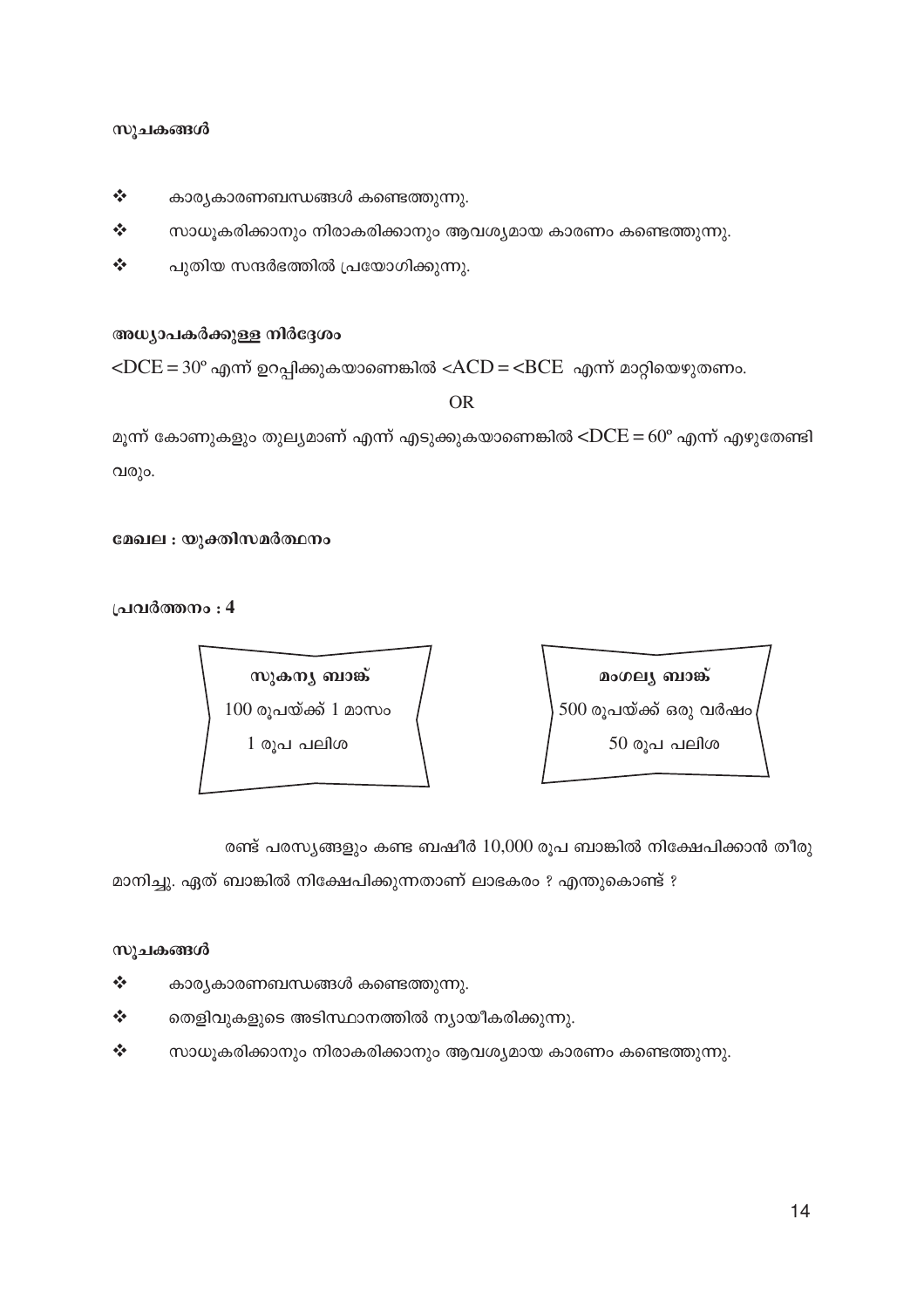- $\bm{\dot{\cdot}}$  സാധൂകരിക്കാനും നിരാകരിക്കാനും ആവശ്യമായ കാരണം കണ്ടെത്തുന്നു.
- $\boldsymbol{\dot{*}}$  ചെ തെളിവുകളുടെ അടിസ്ഥാനത്തിൽ ന്യായീകരിക്കുന്നു.
- $\mathbf{\dot{\cdot}}$  കാര്യകാരണബന്ധങ്ങൾ കണ്ടെത്തുന്നു.

മാനിച്ചു. ഏത് ബാങ്കിൽ നിക്ഷേപിക്കുന്നതാണ് ലാഭകരം ? എന്തുകൊണ്ട് ?

രണ്ട് പരസ്യങ്ങളും കണ്ട ബഷീർ  $10{,}000$  രൂപ ബാങ്കിൽ നിക്ഷേപിക്കാൻ തീരു

 $1 \text{ o}$ പ പലിശ $\begin{array}{ccc} 1 & -50 \text{ o} \text{ s} \end{array}$ പ ലിശ

സുകനു ബാങ്ക് / **kpp a** away ബാങ്ക്  $100$  രൂപയ്ക്ക് 1 മാസം  $\qquad \qquad \Big\vert\ 500$  രൂപയ്ക്ക് ഒരു വർഷം

**{]h¿Ø\w : 4**

മേഖല : യുക്തിസമർത്ഥനം

വരും.

മൂന്ന് കോണുകളും തുലൃമാണ് എന്ന് എടുക്കുകയാണെങ്കിൽ < $DCE = 60^\circ$  എന്ന് എഴുതേണ്ടി

OR

അധ്യാപകർക്കുള്ള നിർദ്ദേശം

 $\angle$ DCE = 30° എന്ന് ഉറപ്പിക്കുകയാണെങ്കിൽ  $\angle$ ACD =  $\angle$ BCE എന്ന് മാറ്റിയെഴുതണം.

- $\boldsymbol{\dot{\cdot}}$  പുതിയ സന്ദർഭത്തിൽ പ്രയോഗിക്കുന്നു.
- $\boldsymbol{\dot{\cdot}}$  സാധൂകരിക്കാനും നിരാകരിക്കാനും ആവശ്യമായ കാരണം കണ്ടെത്തുന്നു.
- $\mathbf{\hat{P}}$  കാര്യകാരണബന്ധങ്ങൾ കണ്ടെത്തുന്നു.

#### സുചകങ്ങൾ